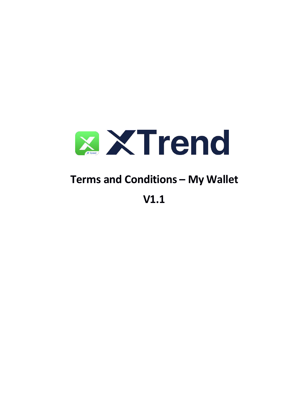

# Terms and Conditions - My Wallet

 $V1.1$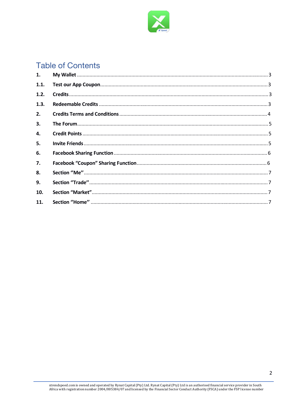

# **Table of Contents**

| 1.   |  |
|------|--|
| 1.1. |  |
| 1.2. |  |
| 1.3. |  |
| 2.   |  |
| 3.   |  |
| 4.   |  |
| 5.   |  |
| 6.   |  |
| 7.   |  |
| 8.   |  |
| 9.   |  |
| 10.  |  |
| 11.  |  |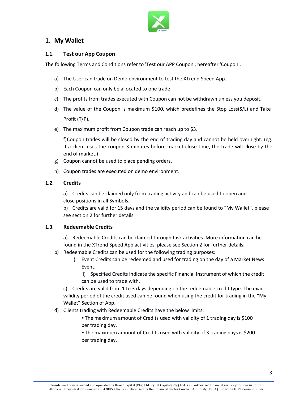

# **1. My Wallet**

#### **1.1. Test our App Coupon**

The following Terms and Conditions refer to 'Test our APP Coupon', hereafter 'Coupon'.

- a) The User can trade on Demo environment to test the XTrend Speed App.
- b) Each Coupon can only be allocated to one trade.
- c) The profits from trades executed with Coupon can not be withdrawn unless you deposit.
- d) The value ofthe Coupon is maximum \$100, which predefines the Stop Loss(S/L) and Take Profit (T/P).
- e) The maximum profit from Coupon trade can reach up to \$3.

f)Coupon trades will be closed by the end of trading day and cannot be held overnight. (eg. If a client uses the coupon 3 minutes before market close time, the trade will close by the end of market.)

- g) Coupon cannot be used to place pending orders.
- h) Coupon trades are executed on demo environment.

#### **1.2. Credits**

a) Credits can be claimed only from trading activity and can be used to open and close positions in all Symbols.

b) Credits are valid for 15 days and the validity period can be found to "My Wallet", please see section 2 for further details.

#### **1.3. Redeemable Credits**

a) Redeemable Credits can be claimed through task activities. More information can be found in the XTrend Speed App activities, please see Section 2 for further details.

- b) Redeemable Credits can be used for the following trading purposes:
	- i) Event Credits can be redeemed and used for trading on the day of a Market News Event.

ii) Specified Credits indicate the specific Financial Instrument of which the credit can be used to trade with.

c) Credits are valid from 1 to 3 days depending on the redeemable credit type. The exact validity period of the credit used can be found when using the credit for trading in the "My Wallet" Section of App.

d) Clients trading with Redeemable Credits have the below limits:

• The maximum amount of Credits used with validity of 1 trading day is \$100 per trading day.

• The maximum amount of Credits used with validity of 3 trading days is \$200 per trading day.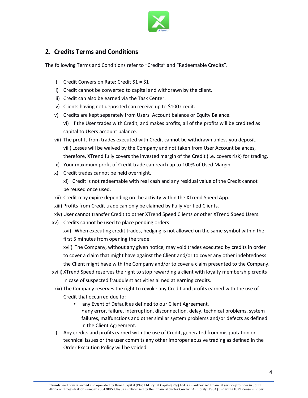

# **2. Credits Terms and Conditions**

The following Terms and Conditions refer to "Credits" and "Redeemable Credits".

- i) Credit Conversion Rate: Credit \$1 = \$1
- ii) Credit cannot be converted to capital and withdrawn by the client.
- iii) Credit can also be earned via the Task Center.
- iv) Clients having not deposited can receive up to \$100 Credit.
- v) Credits are kept separately from Users' Account balance or Equity Balance. vi) If the User trades with Credit, and makes profits, all of the profits will be credited as capital to Users account balance.
- vii) The profits from trades executed with Credit cannot be withdrawn unless you deposit. viii) Losses will be waived by the Company and not taken from User Account balances, therefore, XTrend fully covers the invested margin of the Credit (i.e. covers risk) for trading.
- ix) Your maximum profit of Credit trade can reach up to 100% of Used Margin.
- x) Credit trades cannot be held overnight.
	- xi) Credit is not redeemable with real cash and any residual value of the Credit cannot be reused once used.
- xii) Credit may expire depending on the activity within the XTrend Speed App.
- xiii) Profits from Credit trade can only be claimed by Fully Verified Clients.
- xiv) User cannot transfer Credit to other XTrend Speed Clients or other XTrend Speed Users.
- xv) Credits cannot be used to place pending orders.
	- xvi) When executing credit trades, hedging is not allowed on the same symbol within the first 5 minutes from opening the trade.

xvii) The Company, without any given notice, may void trades executed by credits in order to cover a claim that might have against the Client and/or to cover any other indebtedness the Client might have with the Company and/or to cover a claim presented to the Company.

- xviii) XTrend Speed reserves the right to stop rewarding a client with loyalty membership credits in case of suspected fraudulent activities aimed at earning credits.
- xix) The Company reserves the right to revoke any Credit and profits earned with the use of Credit that occurred due to:
	- - any Event of Default as defined to our Client Agreement. any error, failure, interruption, disconnection, delay, technical problems, system failures, malfunctions and other similar system problems and/or defects as defined in the Client Agreement.
- i) Any credits and profits earned with the use of Credit, generated from misquotation or technical issues or the user commits any other improper abusive trading as defined in the Order Execution Policy will be voided.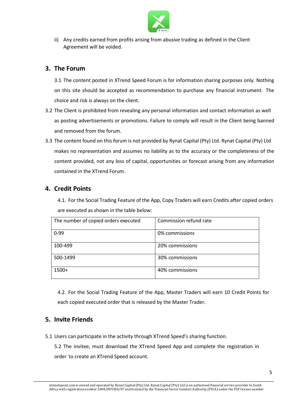

ii) Any credits earned from profits arising from abusive trading as defined in the Client Agreement will be voided.

# **3. The Forum**

3.1 The content posted in XTrend Speed Forum is for information sharing purposes only. Nothing on this site should be accepted as recommendation to purchase any financial instrument. The choice and risk is always on the client.

- 3.2 The Client is prohibited from revealing any personal information and contact information as well as posting advertisements or promotions. Failure to comply will result in the Client being banned and removed from the forum.
- 3.3 The content found on this forum is not provided by Rynat Capital (Pty) Ltd. Rynat Capital (Pty) Ltd makes no representation and assumes no liability asto the accuracy or the completeness of the content provided, not any loss of capital, opportunities or forecast arising from any information contained in the XTrend Forum.

# **4. Credit Points**

4.1. For the Social Trading Feature of the App, Copy Traders will earn Credits after copied orders are executed as shown in the table below:

| The number of copied orders executed | Commission refund rate |
|--------------------------------------|------------------------|
| $0 - 99$                             | 0% commissions         |
| 100-499                              | 20% commissions        |
| 500-1499                             | 30% commissions        |
| $1500+$                              | 40% commissions        |

4.2. For the Social Trading Feature of the App, Master Traders will earn 10 Credit Points for each copied executed order that is released by the Master Trader.

# **5. Invite Friends**

5.1 Users can participate in the activity through XTrend Speed's sharing function.

5.2 The invitee, must download the XTrend Speed App and complete the registration in order to create an XTrend Speed account.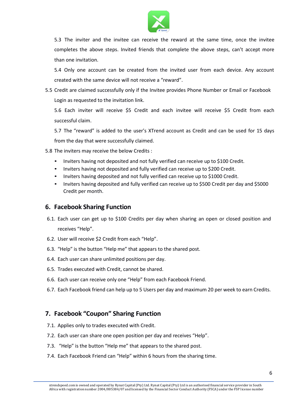

5.3 The inviter and the invitee can receive the reward at the same time, once the invitee completes the above steps. Invited friends that complete the above steps, can't accept more than one invitation.

5.4 Only one account can be created from the invited user from each device. Any account created with the same device will not receive a "reward".

5.5 Credit are claimed successfully only if the Invitee provides Phone Number or Email or Facebook Login as requested to the invitation link.

5.6 Each inviter will receive \$5 Credit and each invitee will receive \$5 Credit from each successful claim.

5.7 The "reward" is added to the user's XTrend account as Credit and can be used for 15 days from the day that were successfully claimed.

- 5.8 The inviters may receive the below Credits :
	- Inviters having not deposited and not fully verified can receive up to \$100 Credit.
	- Inviters having not deposited and fully verified can receive up to \$200 Credit.
	- Inviters having deposited and not fully verified can receive up to \$1000 Credit.
	- Inviters having deposited and fully verified can receive up to \$500 Credit per day and \$5000 Credit per month.

#### **6. Facebook Sharing Function**

- 6.1. Each user can get up to \$100 Credits per day when sharing an open or closed position and receives "Help".
- 6.2. User will receive \$2 Credit from each "Help".
- 6.3. "Help" is the button "Help me" that appears to the shared post.
- 6.4. Each user can share unlimited positions per day.
- 6.5. Trades executed with Credit, cannot be shared.
- 6.6. Each user can receive only one "Help" from each Facebook Friend.
- 6.7. Each Facebook friend can help up to 5 Users per day and maximum 20 per week to earn Credits.

# **7. Facebook "Coupon" Sharing Function**

- 7.1. Applies only to trades executed with Credit.
- 7.2. Each user can share one open position per day and receives "Help".
- 7.3. "Help" is the button "Help me" that appears to the shared post.
- 7.4. Each Facebook Friend can "Help" within 6 hours from the sharing time.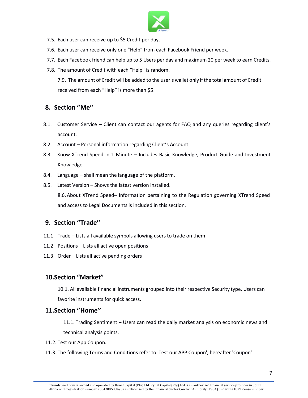

- 7.5. Each user can receive up to \$5 Credit per day.
- 7.6. Each user can receive only one "Help" from each Facebook Friend per week.
- 7.7. Each Facebook friend can help up to 5 Users per day and maximum 20 per week to earn Credits.
- 7.8. The amount of Credit with each "Help" is random.

7.9. The amount of Credit will be added to the user's wallet only if the total amount of Credit received from each "Help" is more than \$5.

#### **8. Section ''Me''**

- 8.1. Customer Service Client can contact our agents for FAQ and any queries regarding client's account.
- 8.2. Account Personal information regarding Client's Account.
- 8.3. Know XTrend Speed in 1 Minute Includes Basic Knowledge, Product Guide and Investment Knowledge.
- 8.4. Language shall mean the language of the platform.
- 8.5. Latest Version Shows the latest version installed.

8.6.About XTrend Speed– Information pertaining to the Regulation governing XTrend Speed and access to Legal Documents is included in this section.

# **9. Section ''Trade''**

- 11.1 Trade Lists all available symbols allowing users to trade on them
- 11.2 Positions Lists all active open positions
- 11.3 Order Lists all active pending orders

#### **10.Section "Market"**

10.1. All available financial instruments grouped into their respective Security type. Users can favorite instruments for quick access.

#### **11.Section ''Home''**

11.1. Trading Sentiment – Users can read the daily market analysis on economic news and technical analysis points.

- 11.2. Test our App Coupon.
- 11.3. The following Terms and Conditions refer to 'Test our APP Coupon', hereafter 'Coupon'